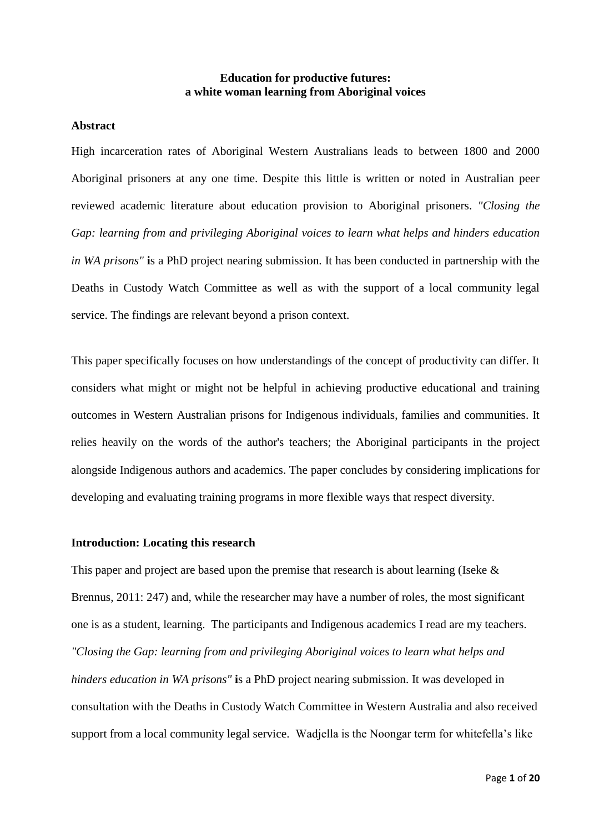# **Education for productive futures: a white woman learning from Aboriginal voices**

# **Abstract**

High incarceration rates of Aboriginal Western Australians leads to between 1800 and 2000 Aboriginal prisoners at any one time. Despite this little is written or noted in Australian peer reviewed academic literature about education provision to Aboriginal prisoners. *"Closing the Gap: learning from and privileging Aboriginal voices to learn what helps and hinders education in WA prisons"* **i**s a PhD project nearing submission. It has been conducted in partnership with the Deaths in Custody Watch Committee as well as with the support of a local community legal service. The findings are relevant beyond a prison context.

This paper specifically focuses on how understandings of the concept of productivity can differ. It considers what might or might not be helpful in achieving productive educational and training outcomes in Western Australian prisons for Indigenous individuals, families and communities. It relies heavily on the words of the author's teachers; the Aboriginal participants in the project alongside Indigenous authors and academics. The paper concludes by considering implications for developing and evaluating training programs in more flexible ways that respect diversity.

### **Introduction: Locating this research**

This paper and project are based upon the premise that research is about learning (Iseke & Brennus, 2011: 247) and, while the researcher may have a number of roles, the most significant one is as a student, learning. The participants and Indigenous academics I read are my teachers. *"Closing the Gap: learning from and privileging Aboriginal voices to learn what helps and hinders education in WA prisons"* **i**s a PhD project nearing submission. It was developed in consultation with the Deaths in Custody Watch Committee in Western Australia and also received support from a local community legal service. Wadjella is the Noongar term for whitefella's like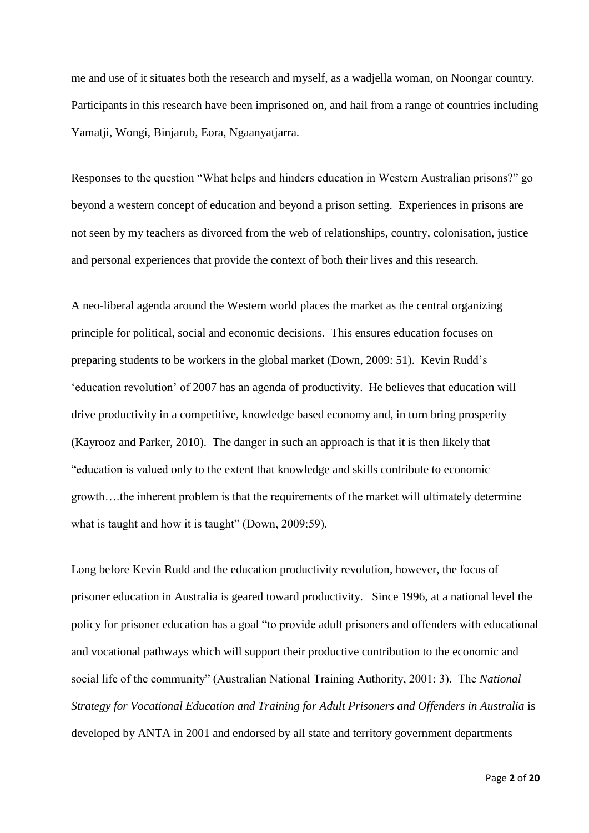me and use of it situates both the research and myself, as a wadjella woman, on Noongar country. Participants in this research have been imprisoned on, and hail from a range of countries including Yamatji, Wongi, Binjarub, Eora, Ngaanyatjarra.

Responses to the question "What helps and hinders education in Western Australian prisons?" go beyond a western concept of education and beyond a prison setting. Experiences in prisons are not seen by my teachers as divorced from the web of relationships, country, colonisation, justice and personal experiences that provide the context of both their lives and this research.

A neo-liberal agenda around the Western world places the market as the central organizing principle for political, social and economic decisions. This ensures education focuses on preparing students to be workers in the global market (Down, 2009: 51). Kevin Rudd's 'education revolution' of 2007 has an agenda of productivity. He believes that education will drive productivity in a competitive, knowledge based economy and, in turn bring prosperity (Kayrooz and Parker, 2010). The danger in such an approach is that it is then likely that "education is valued only to the extent that knowledge and skills contribute to economic growth….the inherent problem is that the requirements of the market will ultimately determine what is taught and how it is taught" (Down, 2009:59).

Long before Kevin Rudd and the education productivity revolution, however, the focus of prisoner education in Australia is geared toward productivity. Since 1996, at a national level the policy for prisoner education has a goal "to provide adult prisoners and offenders with educational and vocational pathways which will support their productive contribution to the economic and social life of the community" (Australian National Training Authority, 2001: 3). The *National Strategy for Vocational Education and Training for Adult Prisoners and Offenders in Australia* is developed by ANTA in 2001 and endorsed by all state and territory government departments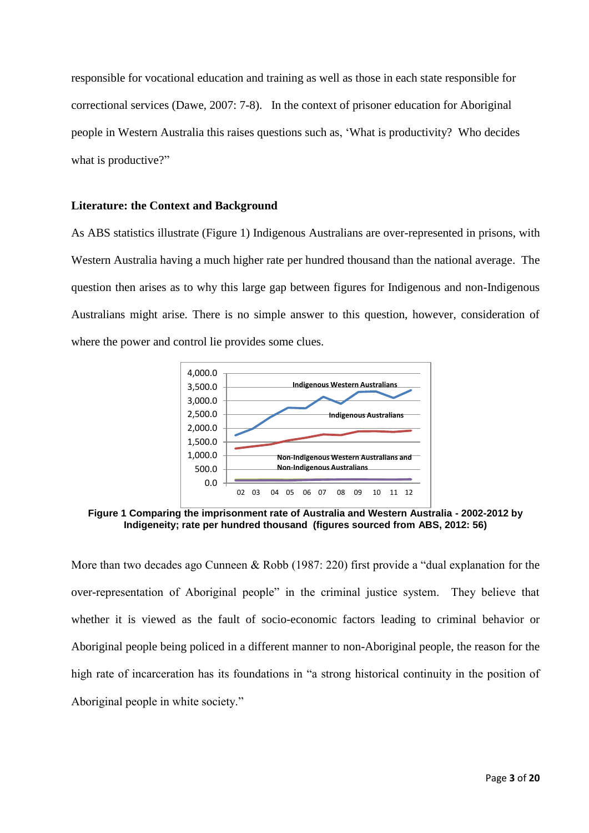responsible for vocational education and training as well as those in each state responsible for correctional services (Dawe, 2007: 7-8). In the context of prisoner education for Aboriginal people in Western Australia this raises questions such as, 'What is productivity? Who decides what is productive?"

# **Literature: the Context and Background**

As ABS statistics illustrate (Figure 1) Indigenous Australians are over-represented in prisons, with Western Australia having a much higher rate per hundred thousand than the national average. The question then arises as to why this large gap between figures for Indigenous and non-Indigenous Australians might arise. There is no simple answer to this question, however, consideration of where the power and control lie provides some clues.



**Figure 1 Comparing the imprisonment rate of Australia and Western Australia - 2002-2012 by Indigeneity; rate per hundred thousand (figures sourced from ABS, 2012: 56)**

More than two decades ago Cunneen & Robb (1987: 220) first provide a "dual explanation for the over-representation of Aboriginal people" in the criminal justice system. They believe that whether it is viewed as the fault of socio-economic factors leading to criminal behavior or Aboriginal people being policed in a different manner to non-Aboriginal people, the reason for the high rate of incarceration has its foundations in "a strong historical continuity in the position of Aboriginal people in white society."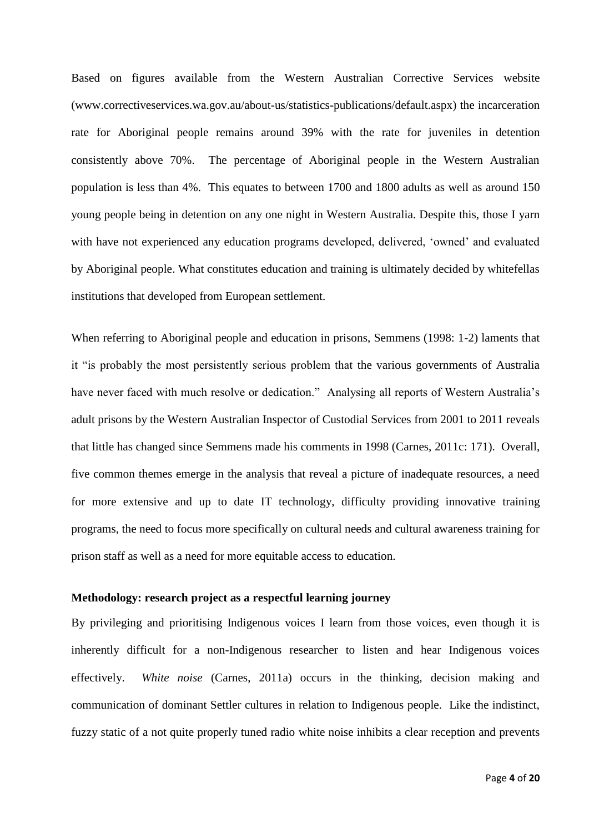Based on figures available from the Western Australian Corrective Services website [\(www.correctiveservices.wa.gov.au/about-us/statistics-publications/default.aspx\)](http://www.correctiveservices.wa.gov.au/about-us/statistics-publications/default.aspx)) the incarceration rate for Aboriginal people remains around 39% with the rate for juveniles in detention consistently above 70%. The percentage of Aboriginal people in the Western Australian population is less than 4%. This equates to between 1700 and 1800 adults as well as around 150 young people being in detention on any one night in Western Australia. Despite this, those I yarn with have not experienced any education programs developed, delivered, 'owned' and evaluated by Aboriginal people. What constitutes education and training is ultimately decided by whitefellas institutions that developed from European settlement.

When referring to Aboriginal people and education in prisons, Semmens (1998: 1-2) laments that it "is probably the most persistently serious problem that the various governments of Australia have never faced with much resolve or dedication." Analysing all reports of Western Australia's adult prisons by the Western Australian Inspector of Custodial Services from 2001 to 2011 reveals that little has changed since Semmens made his comments in 1998 (Carnes, 2011c: 171). Overall, five common themes emerge in the analysis that reveal a picture of inadequate resources, a need for more extensive and up to date IT technology, difficulty providing innovative training programs, the need to focus more specifically on cultural needs and cultural awareness training for prison staff as well as a need for more equitable access to education.

# **Methodology: research project as a respectful learning journey**

By privileging and prioritising Indigenous voices I learn from those voices, even though it is inherently difficult for a non-Indigenous researcher to listen and hear Indigenous voices effectively. *White noise* (Carnes, 2011a) occurs in the thinking, decision making and communication of dominant Settler cultures in relation to Indigenous people. Like the indistinct, fuzzy static of a not quite properly tuned radio white noise inhibits a clear reception and prevents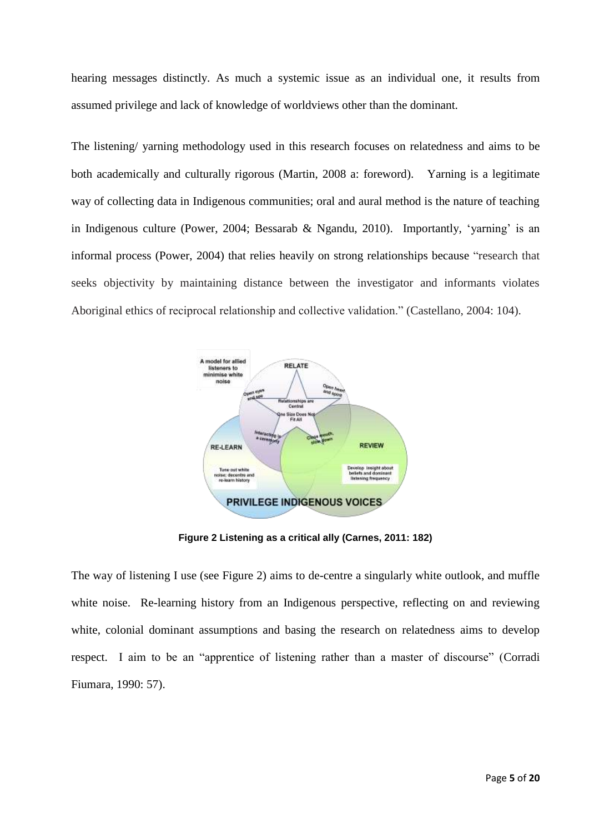hearing messages distinctly. As much a systemic issue as an individual one, it results from assumed privilege and lack of knowledge of worldviews other than the dominant.

The listening/ yarning methodology used in this research focuses on relatedness and aims to be both academically and culturally rigorous (Martin, 2008 a: foreword). Yarning is a legitimate way of collecting data in Indigenous communities; oral and aural method is the nature of teaching in Indigenous culture (Power, 2004; Bessarab & Ngandu, 2010). Importantly, 'yarning' is an informal process (Power, 2004) that relies heavily on strong relationships because "research that seeks objectivity by maintaining distance between the investigator and informants violates Aboriginal ethics of reciprocal relationship and collective validation." (Castellano, 2004: 104).



**Figure 2 Listening as a critical ally (Carnes, 2011: 182)**

The way of listening I use (see Figure 2) aims to de-centre a singularly white outlook, and muffle white noise. Re-learning history from an Indigenous perspective, reflecting on and reviewing white, colonial dominant assumptions and basing the research on relatedness aims to develop respect. I aim to be an "apprentice of listening rather than a master of discourse" (Corradi Fiumara, 1990: 57).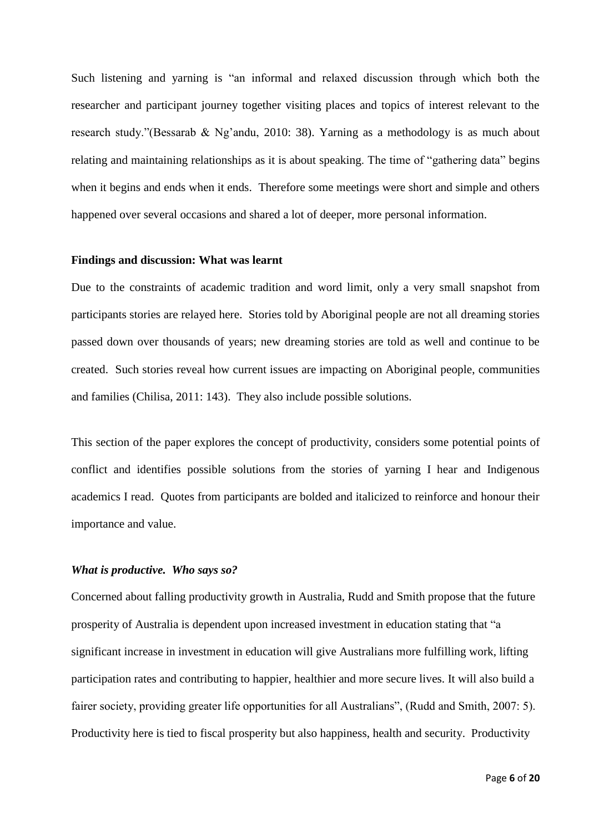Such listening and yarning is "an informal and relaxed discussion through which both the researcher and participant journey together visiting places and topics of interest relevant to the research study."(Bessarab & Ng'andu, 2010: 38). Yarning as a methodology is as much about relating and maintaining relationships as it is about speaking. The time of "gathering data" begins when it begins and ends when it ends. Therefore some meetings were short and simple and others happened over several occasions and shared a lot of deeper, more personal information.

### **Findings and discussion: What was learnt**

Due to the constraints of academic tradition and word limit, only a very small snapshot from participants stories are relayed here. Stories told by Aboriginal people are not all dreaming stories passed down over thousands of years; new dreaming stories are told as well and continue to be created. Such stories reveal how current issues are impacting on Aboriginal people, communities and families (Chilisa, 2011: 143). They also include possible solutions.

This section of the paper explores the concept of productivity, considers some potential points of conflict and identifies possible solutions from the stories of yarning I hear and Indigenous academics I read. Quotes from participants are bolded and italicized to reinforce and honour their importance and value.

# *What is productive. Who says so?*

Concerned about falling productivity growth in Australia, Rudd and Smith propose that the future prosperity of Australia is dependent upon increased investment in education stating that "a significant increase in investment in education will give Australians more fulfilling work, lifting participation rates and contributing to happier, healthier and more secure lives. It will also build a fairer society, providing greater life opportunities for all Australians", (Rudd and Smith, 2007: 5). Productivity here is tied to fiscal prosperity but also happiness, health and security. Productivity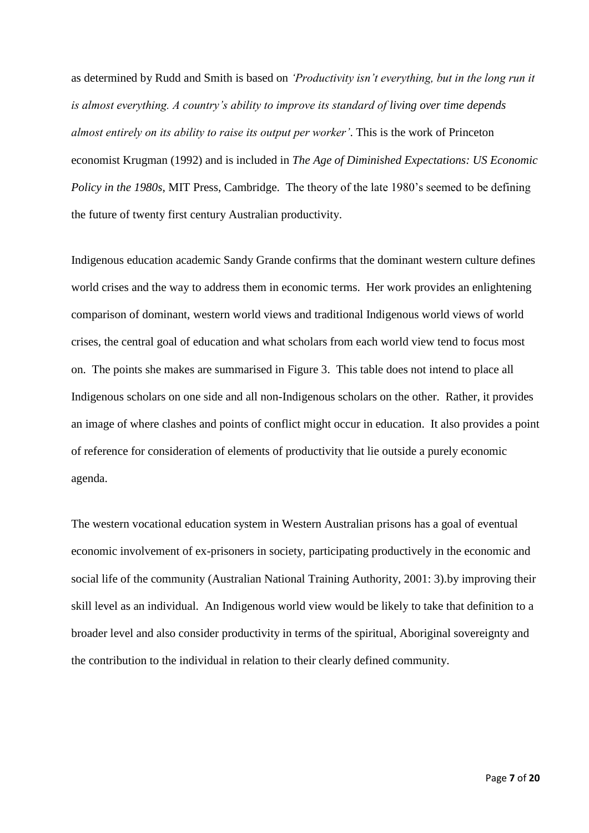as determined by Rudd and Smith is based on *'Productivity isn't everything, but in the long run it is almost everything. A country's ability to improve its standard of living over time depends almost entirely on its ability to raise its output per worker'*. This is the work of Princeton economist Krugman (1992) and is included in *The Age of Diminished Expectations: US Economic Policy in the 1980s*, MIT Press, Cambridge. The theory of the late 1980's seemed to be defining the future of twenty first century Australian productivity.

Indigenous education academic Sandy Grande confirms that the dominant western culture defines world crises and the way to address them in economic terms. Her work provides an enlightening comparison of dominant, western world views and traditional Indigenous world views of world crises, the central goal of education and what scholars from each world view tend to focus most on. The points she makes are summarised in Figure 3. This table does not intend to place all Indigenous scholars on one side and all non-Indigenous scholars on the other. Rather, it provides an image of where clashes and points of conflict might occur in education. It also provides a point of reference for consideration of elements of productivity that lie outside a purely economic agenda.

The western vocational education system in Western Australian prisons has a goal of eventual economic involvement of ex-prisoners in society, participating productively in the economic and social life of the community (Australian National Training Authority, 2001: 3).by improving their skill level as an individual. An Indigenous world view would be likely to take that definition to a broader level and also consider productivity in terms of the spiritual, Aboriginal sovereignty and the contribution to the individual in relation to their clearly defined community.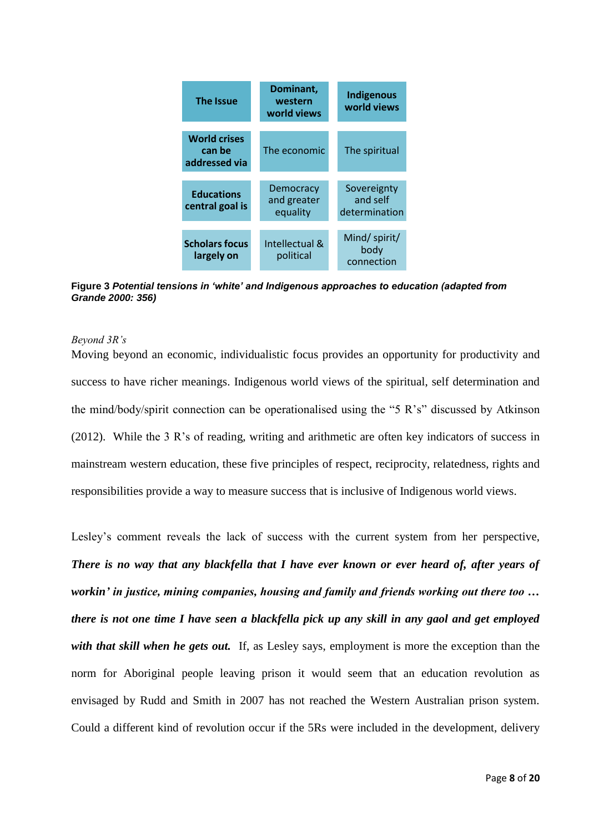

**Figure 3** *Potential tensions in 'white' and Indigenous approaches to education (adapted from Grande 2000: 356)*

#### *Beyond 3R's*

Moving beyond an economic, individualistic focus provides an opportunity for productivity and success to have richer meanings. Indigenous world views of the spiritual, self determination and the mind/body/spirit connection can be operationalised using the "5 R's" discussed by Atkinson (2012). While the 3 R's of reading, writing and arithmetic are often key indicators of success in mainstream western education, these five principles of respect, reciprocity, relatedness, rights and responsibilities provide a way to measure success that is inclusive of Indigenous world views.

Lesley's comment reveals the lack of success with the current system from her perspective, *There is no way that any blackfella that I have ever known or ever heard of, after years of workin' in justice, mining companies, housing and family and friends working out there too … there is not one time I have seen a blackfella pick up any skill in any gaol and get employed*  with that skill when he gets out. If, as Lesley says, employment is more the exception than the norm for Aboriginal people leaving prison it would seem that an education revolution as envisaged by Rudd and Smith in 2007 has not reached the Western Australian prison system. Could a different kind of revolution occur if the 5Rs were included in the development, delivery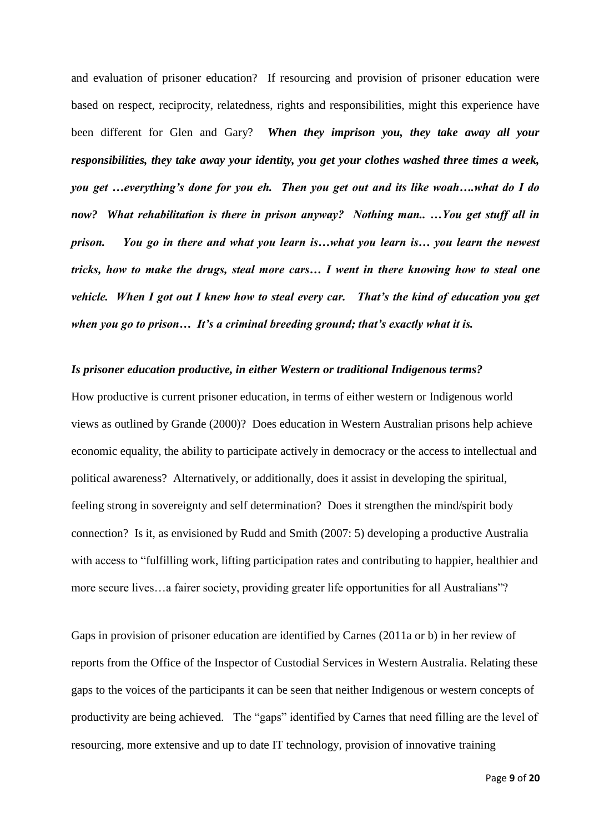and evaluation of prisoner education? If resourcing and provision of prisoner education were based on respect, reciprocity, relatedness, rights and responsibilities, might this experience have been different for Glen and Gary? *When they imprison you, they take away all your responsibilities, they take away your identity, you get your clothes washed three times a week, you get …everything's done for you eh. Then you get out and its like woah….what do I do now? What rehabilitation is there in prison anyway? Nothing man.. …You get stuff all in prison. You go in there and what you learn is…what you learn is… you learn the newest tricks, how to make the drugs, steal more cars… I went in there knowing how to steal one vehicle. When I got out I knew how to steal every car. That's the kind of education you get when you go to prison… It's a criminal breeding ground; that's exactly what it is.* 

### *Is prisoner education productive, in either Western or traditional Indigenous terms?*

How productive is current prisoner education, in terms of either western or Indigenous world views as outlined by Grande (2000)? Does education in Western Australian prisons help achieve economic equality, the ability to participate actively in democracy or the access to intellectual and political awareness? Alternatively, or additionally, does it assist in developing the spiritual, feeling strong in sovereignty and self determination? Does it strengthen the mind/spirit body connection? Is it, as envisioned by Rudd and Smith (2007: 5) developing a productive Australia with access to "fulfilling work, lifting participation rates and contributing to happier, healthier and more secure lives...a fairer society, providing greater life opportunities for all Australians"?

Gaps in provision of prisoner education are identified by Carnes (2011a or b) in her review of reports from the Office of the Inspector of Custodial Services in Western Australia. Relating these gaps to the voices of the participants it can be seen that neither Indigenous or western concepts of productivity are being achieved. The "gaps" identified by Carnes that need filling are the level of resourcing, more extensive and up to date IT technology, provision of innovative training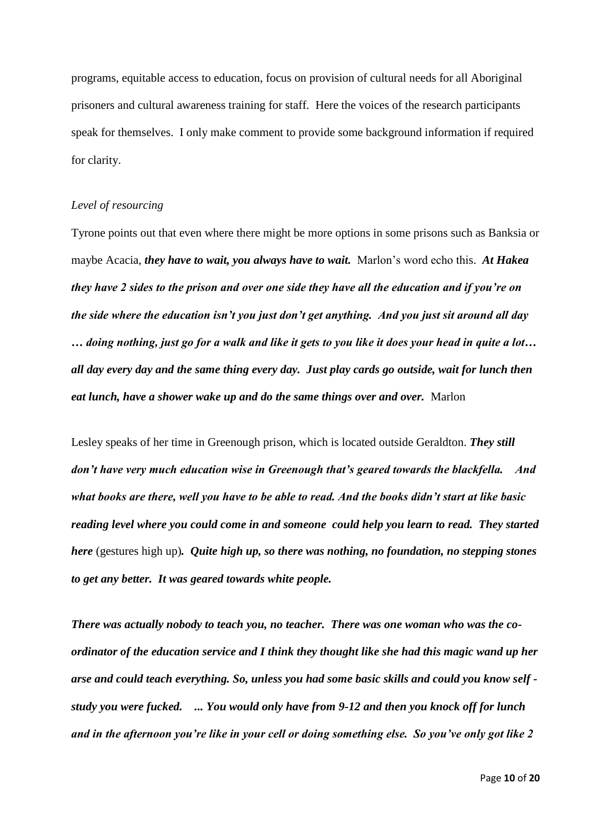programs, equitable access to education, focus on provision of cultural needs for all Aboriginal prisoners and cultural awareness training for staff. Here the voices of the research participants speak for themselves. I only make comment to provide some background information if required for clarity.

### *Level of resourcing*

Tyrone points out that even where there might be more options in some prisons such as Banksia or maybe Acacia, *they have to wait, you always have to wait.* Marlon's word echo this. *At Hakea they have 2 sides to the prison and over one side they have all the education and if you're on the side where the education isn't you just don't get anything. And you just sit around all day … doing nothing, just go for a walk and like it gets to you like it does your head in quite a lot… all day every day and the same thing every day. Just play cards go outside, wait for lunch then eat lunch, have a shower wake up and do the same things over and over.* Marlon

Lesley speaks of her time in Greenough prison, which is located outside Geraldton. *They still don't have very much education wise in Greenough that's geared towards the blackfella. And what books are there, well you have to be able to read. And the books didn't start at like basic reading level where you could come in and someone could help you learn to read. They started here* (gestures high up)*. Quite high up, so there was nothing, no foundation, no stepping stones to get any better. It was geared towards white people.* 

*There was actually nobody to teach you, no teacher. There was one woman who was the coordinator of the education service and I think they thought like she had this magic wand up her arse and could teach everything. So, unless you had some basic skills and could you know self study you were fucked. ... You would only have from 9-12 and then you knock off for lunch and in the afternoon you're like in your cell or doing something else. So you've only got like 2*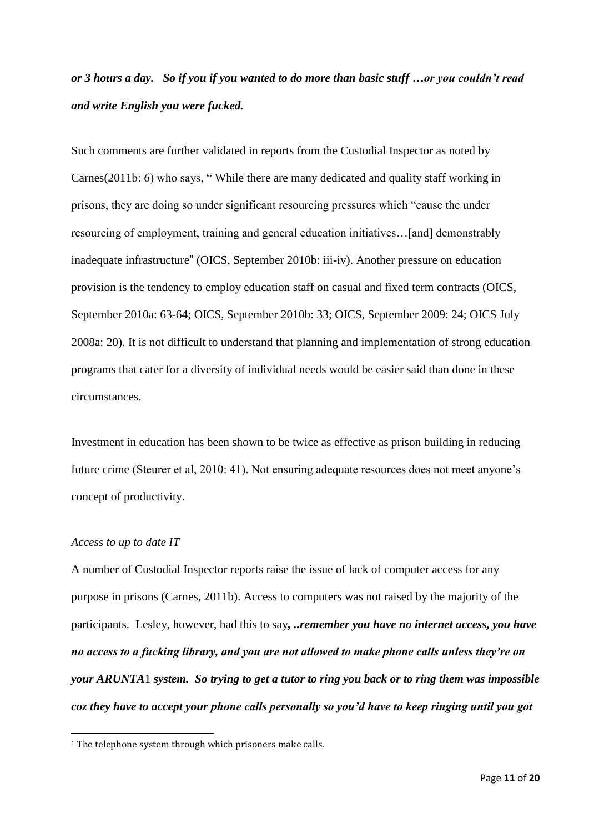# *or 3 hours a day. So if you if you wanted to do more than basic stuff …or you couldn't read and write English you were fucked.*

Such comments are further validated in reports from the Custodial Inspector as noted by Carnes(2011b: 6) who says, " While there are many dedicated and quality staff working in prisons, they are doing so under significant resourcing pressures which "cause the under resourcing of employment, training and general education initiatives…[and] demonstrably inadequate infrastructure" (OICS, September 2010b: iii-iv). Another pressure on education provision is the tendency to employ education staff on casual and fixed term contracts (OICS, September 2010a: 63-64; OICS, September 2010b: 33; OICS, September 2009: 24; OICS July 2008a: 20). It is not difficult to understand that planning and implementation of strong education programs that cater for a diversity of individual needs would be easier said than done in these circumstances.

Investment in education has been shown to be twice as effective as prison building in reducing future crime (Steurer et al, 2010: 41). Not ensuring adequate resources does not meet anyone's concept of productivity.

# *Access to up to date IT*

**.** 

A number of Custodial Inspector reports raise the issue of lack of computer access for any purpose in prisons (Carnes, 2011b). Access to computers was not raised by the majority of the participants. Lesley, however, had this to say*, ..remember you have no internet access, you have no access to a fucking library, and you are not allowed to make phone calls unless they're on your ARUNTA*1 *system. So trying to get a tutor to ring you back or to ring them was impossible coz they have to accept your phone calls personally so you'd have to keep ringing until you got* 

<sup>&</sup>lt;sup>1</sup> The telephone system through which prisoners make calls.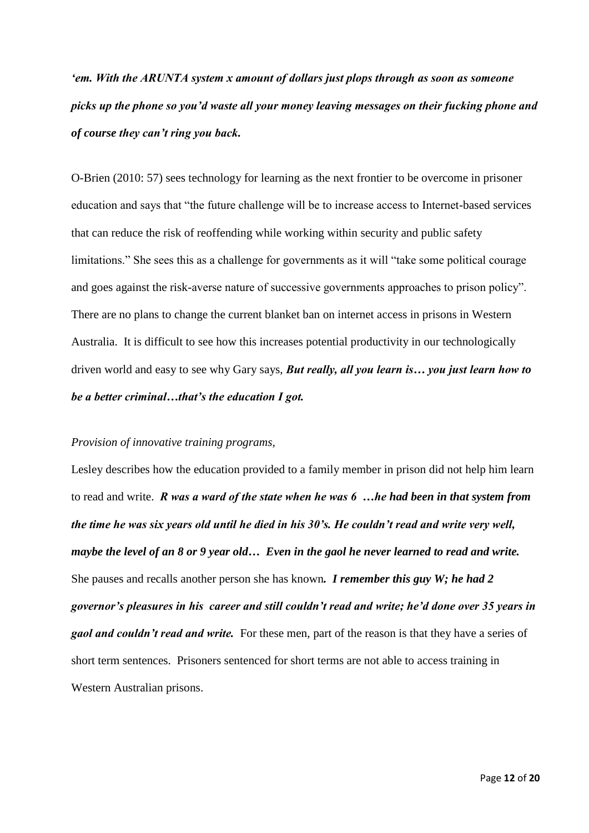*'em. With the ARUNTA system x amount of dollars just plops through as soon as someone picks up the phone so you'd waste all your money leaving messages on their fucking phone and of course they can't ring you back.*

O-Brien (2010: 57) sees technology for learning as the next frontier to be overcome in prisoner education and says that "the future challenge will be to increase access to Internet-based services that can reduce the risk of reoffending while working within security and public safety limitations." She sees this as a challenge for governments as it will "take some political courage and goes against the risk-averse nature of successive governments approaches to prison policy". There are no plans to change the current blanket ban on internet access in prisons in Western Australia. It is difficult to see how this increases potential productivity in our technologically driven world and easy to see why Gary says, *But really, all you learn is… you just learn how to be a better criminal…that's the education I got.*

### *Provision of innovative training programs,*

Lesley describes how the education provided to a family member in prison did not help him learn to read and write. *R was a ward of the state when he was 6 …he had been in that system from the time he was six years old until he died in his 30's. He couldn't read and write very well, maybe the level of an 8 or 9 year old… Even in the gaol he never learned to read and write.*  She pauses and recalls another person she has known*. I remember this guy W; he had 2 governor's pleasures in his career and still couldn't read and write; he'd done over 35 years in gaol and couldn't read and write.* For these men, part of the reason is that they have a series of short term sentences. Prisoners sentenced for short terms are not able to access training in Western Australian prisons.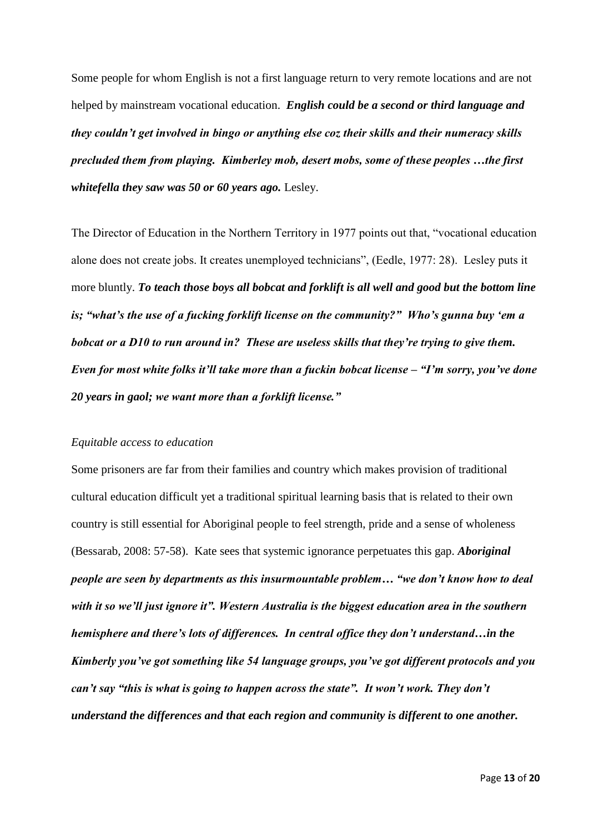Some people for whom English is not a first language return to very remote locations and are not helped by mainstream vocational education. *English could be a second or third language and they couldn't get involved in bingo or anything else coz their skills and their numeracy skills precluded them from playing. Kimberley mob, desert mobs, some of these peoples …the first whitefella they saw was 50 or 60 years ago.* Lesley.

The Director of Education in the Northern Territory in 1977 points out that, "vocational education alone does not create jobs. It creates unemployed technicians", (Eedle, 1977: 28). Lesley puts it more bluntly. *To teach those boys all bobcat and forklift is all well and good but the bottom line is; "what's the use of a fucking forklift license on the community?" Who's gunna buy 'em a bobcat or a D10 to run around in? These are useless skills that they're trying to give them. Even for most white folks it'll take more than a fuckin bobcat license – "I'm sorry, you've done 20 years in gaol; we want more than a forklift license."* 

### *Equitable access to education*

Some prisoners are far from their families and country which makes provision of traditional cultural education difficult yet a traditional spiritual learning basis that is related to their own country is still essential for Aboriginal people to feel strength, pride and a sense of wholeness (Bessarab, 2008: 57-58). Kate sees that systemic ignorance perpetuates this gap. *Aboriginal people are seen by departments as this insurmountable problem… "we don't know how to deal with it so we'll just ignore it". Western Australia is the biggest education area in the southern hemisphere and there's lots of differences. In central office they don't understand…in the Kimberly you've got something like 54 language groups, you've got different protocols and you can't say "this is what is going to happen across the state". It won't work. They don't understand the differences and that each region and community is different to one another.*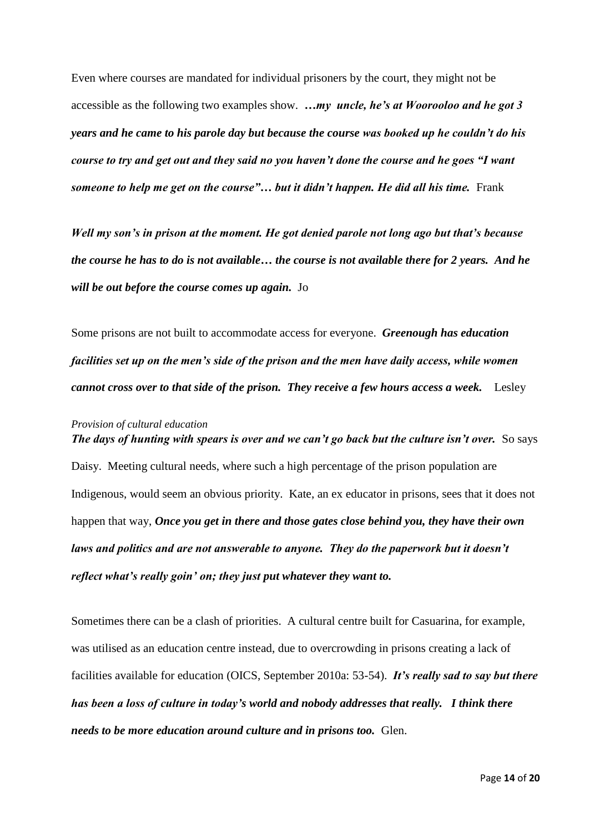Even where courses are mandated for individual prisoners by the court, they might not be accessible as the following two examples show. *…my uncle, he's at Woorooloo and he got 3 years and he came to his parole day but because the course was booked up he couldn't do his course to try and get out and they said no you haven't done the course and he goes "I want someone to help me get on the course"... but it didn't happen. He did all his time.* Frank

*Well my son's in prison at the moment. He got denied parole not long ago but that's because the course he has to do is not available… the course is not available there for 2 years. And he will be out before the course comes up again.* Jo

Some prisons are not built to accommodate access for everyone. *Greenough has education facilities set up on the men's side of the prison and the men have daily access, while women cannot cross over to that side of the prison. They receive a few hours access a week.* Lesley

# *Provision of cultural education The days of hunting with spears is over and we can't go back but the culture isn't over.* **So says** Daisy. Meeting cultural needs, where such a high percentage of the prison population are Indigenous, would seem an obvious priority. Kate, an ex educator in prisons, sees that it does not happen that way, *Once you get in there and those gates close behind you, they have their own laws and politics and are not answerable to anyone. They do the paperwork but it doesn't reflect what's really goin' on; they just put whatever they want to.*

Sometimes there can be a clash of priorities. A cultural centre built for Casuarina, for example, was utilised as an education centre instead, due to overcrowding in prisons creating a lack of facilities available for education (OICS, September 2010a: 53-54). *It's really sad to say but there has been a loss of culture in today's world and nobody addresses that really. I think there needs to be more education around culture and in prisons too.* Glen.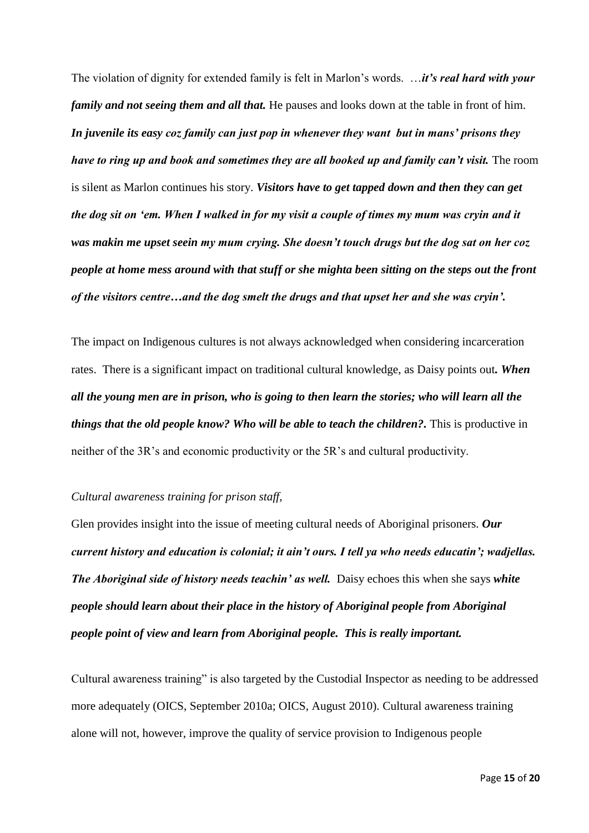The violation of dignity for extended family is felt in Marlon's words. …*it's real hard with your family and not seeing them and all that.* He pauses and looks down at the table in front of him. *In juvenile its easy coz family can just pop in whenever they want but in mans' prisons they have to ring up and book and sometimes they are all booked up and family can't visit.* The room is silent as Marlon continues his story. *Visitors have to get tapped down and then they can get the dog sit on 'em. When I walked in for my visit a couple of times my mum was cryin and it was makin me upset seein my mum crying. She doesn't touch drugs but the dog sat on her coz people at home mess around with that stuff or she mighta been sitting on the steps out the front of the visitors centre…and the dog smelt the drugs and that upset her and she was cryin'.* 

The impact on Indigenous cultures is not always acknowledged when considering incarceration rates. There is a significant impact on traditional cultural knowledge, as Daisy points out*. When all the young men are in prison, who is going to then learn the stories; who will learn all the things that the old people know? Who will be able to teach the children?.* This is productive in neither of the 3R's and economic productivity or the 5R's and cultural productivity.

### *Cultural awareness training for prison staff,*

Glen provides insight into the issue of meeting cultural needs of Aboriginal prisoners. *Our current history and education is colonial; it ain't ours. I tell ya who needs educatin'; wadjellas. The Aboriginal side of history needs teachin' as well.* Daisy echoes this when she says *white people should learn about their place in the history of Aboriginal people from Aboriginal people point of view and learn from Aboriginal people. This is really important.* 

Cultural awareness training" is also targeted by the Custodial Inspector as needing to be addressed more adequately (OICS, September 2010a; OICS, August 2010). Cultural awareness training alone will not, however, improve the quality of service provision to Indigenous people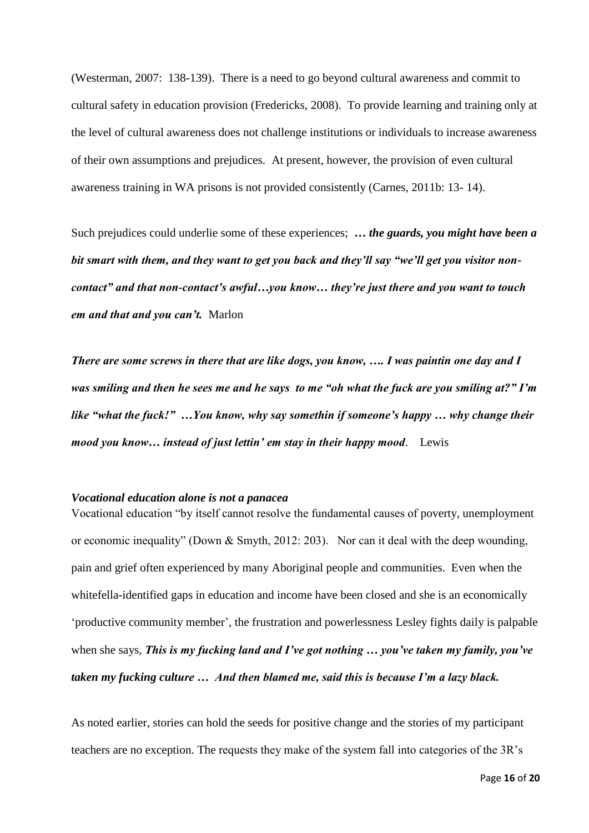(Westerman, 2007: 138-139). There is a need to go beyond cultural awareness and commit to cultural safety in education provision (Fredericks, 2008). To provide learning and training only at the level of cultural awareness does not challenge institutions or individuals to increase awareness of their own assumptions and prejudices. At present, however, the provision of even cultural awareness training in WA prisons is not provided consistently (Carnes, 2011b: 13- 14).

Such prejudices could underlie some of these experiences; *… the guards, you might have been a bit smart with them, and they want to get you back and they'll say "we'll get you visitor noncontact" and that non-contact's awful…you know… they're just there and you want to touch em and that and you can't.* Marlon

*There are some screws in there that are like dogs, you know, …. I was paintin one day and I was smiling and then he sees me and he says to me "oh what the fuck are you smiling at?" I'm like "what the fuck!" …You know, why say somethin if someone's happy … why change their mood you know… instead of just lettin' em stay in their happy mood*. Lewis

### *Vocational education alone is not a panacea*

Vocational education "by itself cannot resolve the fundamental causes of poverty, unemployment or economic inequality" (Down & Smyth, 2012: 203). Nor can it deal with the deep wounding, pain and grief often experienced by many Aboriginal people and communities. Even when the whitefella-identified gaps in education and income have been closed and she is an economically 'productive community member', the frustration and powerlessness Lesley fights daily is palpable when she says, *This is my fucking land and I've got nothing … you've taken my family, you've taken my fucking culture … And then blamed me, said this is because I'm a lazy black.* 

As noted earlier, stories can hold the seeds for positive change and the stories of my participant teachers are no exception. The requests they make of the system fall into categories of the 3R's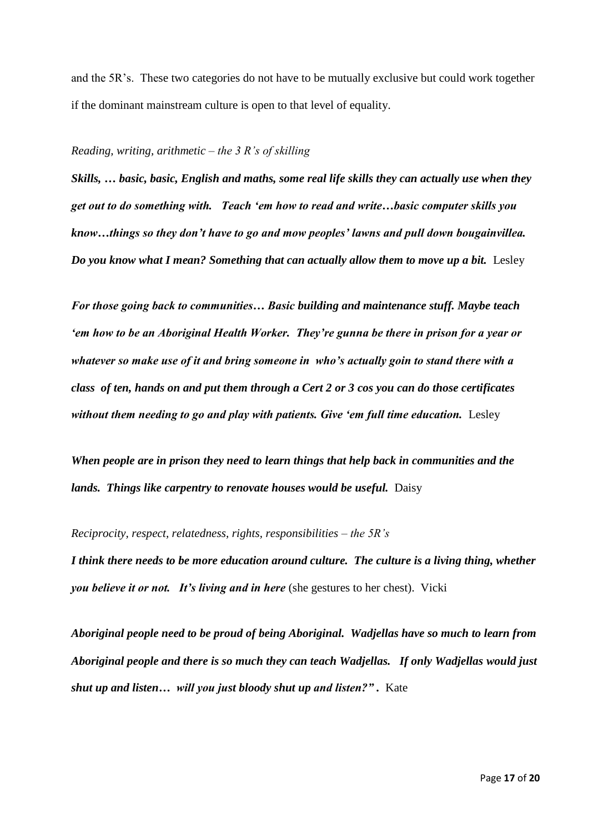and the 5R's. These two categories do not have to be mutually exclusive but could work together if the dominant mainstream culture is open to that level of equality.

### *Reading, writing, arithmetic – the 3 R's of skilling*

*Skills, … basic, basic, English and maths, some real life skills they can actually use when they get out to do something with. Teach 'em how to read and write…basic computer skills you know…things so they don't have to go and mow peoples' lawns and pull down bougainvillea. Do you know what I mean? Something that can actually allow them to move up a bit.* **Lesley** 

*For those going back to communities… Basic building and maintenance stuff. Maybe teach 'em how to be an Aboriginal Health Worker. They're gunna be there in prison for a year or whatever so make use of it and bring someone in who's actually goin to stand there with a class of ten, hands on and put them through a Cert 2 or 3 cos you can do those certificates without them needing to go and play with patients. Give 'em full time education. Lesley* 

*When people are in prison they need to learn things that help back in communities and the*  lands. Things like carpentry to renovate houses would be useful. Daisy

*Reciprocity, respect, relatedness, rights, responsibilities – the 5R's I think there needs to be more education around culture. The culture is a living thing, whether you believe it or not. It's living and in here* (she gestures to her chest). Vicki

*Aboriginal people need to be proud of being Aboriginal. Wadjellas have so much to learn from Aboriginal people and there is so much they can teach Wadjellas. If only Wadjellas would just shut up and listen... will you just bloody shut up and listen?".* Kate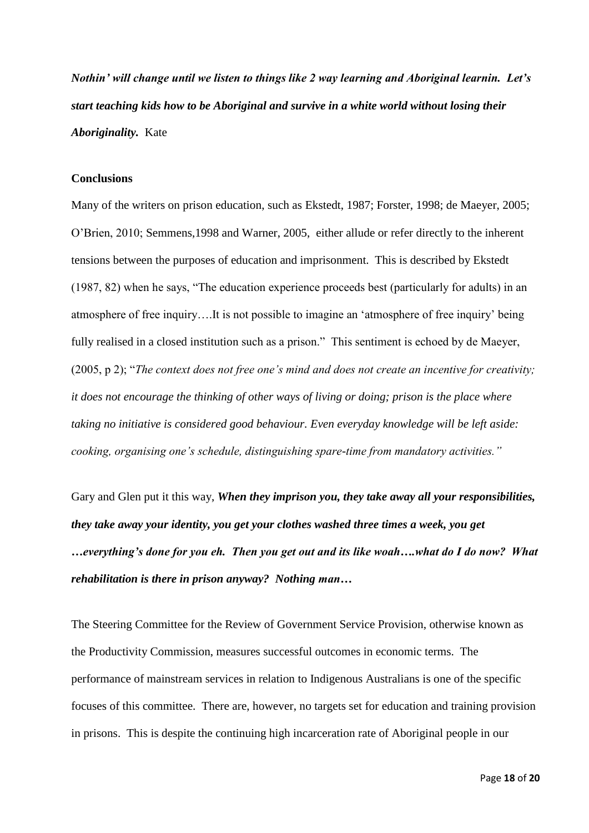*Nothin' will change until we listen to things like 2 way learning and Aboriginal learnin. Let's start teaching kids how to be Aboriginal and survive in a white world without losing their Aboriginality.* Kate

# **Conclusions**

Many of the writers on prison education, such as Ekstedt, 1987; Forster, 1998; de Maeyer, 2005; O'Brien, 2010; Semmens,1998 and Warner, 2005, either allude or refer directly to the inherent tensions between the purposes of education and imprisonment. This is described by Ekstedt (1987, 82) when he says, "The education experience proceeds best (particularly for adults) in an atmosphere of free inquiry….It is not possible to imagine an 'atmosphere of free inquiry' being fully realised in a closed institution such as a prison." This sentiment is echoed by de Maeyer, (2005, p 2); "*The context does not free one's mind and does not create an incentive for creativity; it does not encourage the thinking of other ways of living or doing; prison is the place where taking no initiative is considered good behaviour. Even everyday knowledge will be left aside: cooking, organising one's schedule, distinguishing spare-time from mandatory activities."*

Gary and Glen put it this way, *When they imprison you, they take away all your responsibilities, they take away your identity, you get your clothes washed three times a week, you get …everything's done for you eh. Then you get out and its like woah….what do I do now? What rehabilitation is there in prison anyway? Nothing man…* 

The Steering Committee for the Review of Government Service Provision, otherwise known as the Productivity Commission, measures successful outcomes in economic terms. The performance of mainstream services in relation to Indigenous Australians is one of the specific focuses of this committee. There are, however, no targets set for education and training provision in prisons. This is despite the continuing high incarceration rate of Aboriginal people in our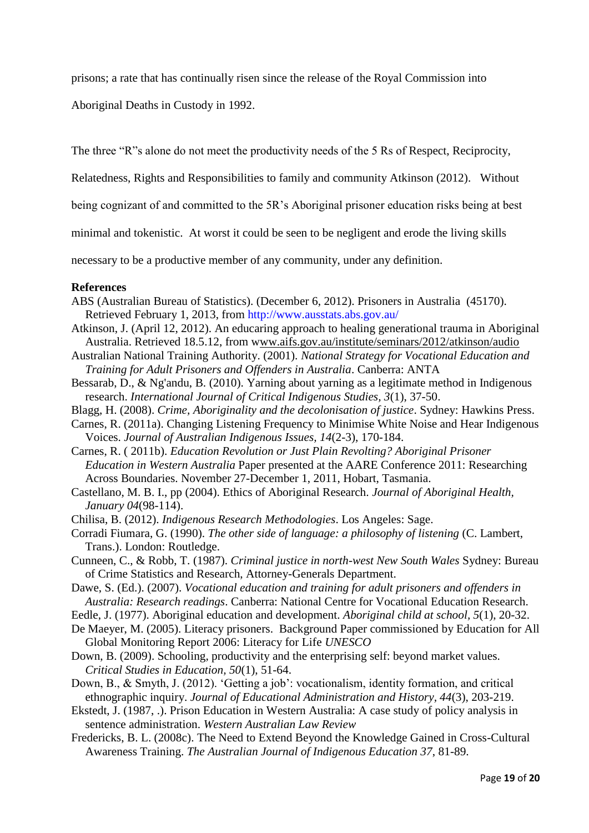prisons; a rate that has continually risen since the release of the Royal Commission into

Aboriginal Deaths in Custody in 1992.

The three "R"s alone do not meet the productivity needs of the 5 Rs of Respect, Reciprocity,

Relatedness, Rights and Responsibilities to family and community Atkinson (2012). Without

being cognizant of and committed to the 5R's Aboriginal prisoner education risks being at best

minimal and tokenistic. At worst it could be seen to be negligent and erode the living skills

necessary to be a productive member of any community, under any definition.

### **References**

- ABS (Australian Bureau of Statistics). (December 6, 2012). Prisoners in Australia (45170). Retrieved February 1, 2013, from<http://www.ausstats.abs.gov.au/>
- Atkinson, J. (April 12, 2012). An educaring approach to healing generational trauma in Aboriginal Australia. Retrieved 18.5.12, from www.aifs.gov.au/institute/seminars/2012/atkinson/audio
- Australian National Training Authority. (2001). *National Strategy for Vocational Education and Training for Adult Prisoners and Offenders in Australia*. Canberra: ANTA
- Bessarab, D., & Ng'andu, B. (2010). Yarning about yarning as a legitimate method in Indigenous research. *International Journal of Critical Indigenous Studies, 3*(1), 37-50.
- Blagg, H. (2008). *Crime, Aboriginality and the decolonisation of justice*. Sydney: Hawkins Press.
- Carnes, R. (2011a). Changing Listening Frequency to Minimise White Noise and Hear Indigenous Voices. *Journal of Australian Indigenous Issues, 14*(2-3), 170-184.

Carnes, R. ( 2011b). *Education Revolution or Just Plain Revolting? Aboriginal Prisoner Education in Western Australia* Paper presented at the AARE Conference 2011: Researching Across Boundaries. November 27-December 1, 2011, Hobart, Tasmania.

- Castellano, M. B. I., pp (2004). Ethics of Aboriginal Research. *Journal of Aboriginal Health, January 04*(98-114).
- Chilisa, B. (2012). *Indigenous Research Methodologies*. Los Angeles: Sage.
- Corradi Fiumara, G. (1990). *The other side of language: a philosophy of listening* (C. Lambert, Trans.). London: Routledge.
- Cunneen, C., & Robb, T. (1987). *Criminal justice in north-west New South Wales* Sydney: Bureau of Crime Statistics and Research, Attorney-Generals Department.
- Dawe, S. (Ed.). (2007). *Vocational education and training for adult prisoners and offenders in Australia: Research readings*. Canberra: National Centre for Vocational Education Research.
- Eedle, J. (1977). Aboriginal education and development. *Aboriginal child at school, 5*(1), 20-32.
- De Maeyer, M. (2005). Literacy prisoners. Background Paper commissioned by Education for All Global Monitoring Report 2006: Literacy for Life *UNESCO*
- Down, B. (2009). Schooling, productivity and the enterprising self: beyond market values. *Critical Studies in Education, 50*(1), 51-64.
- Down, B., & Smyth, J. (2012). 'Getting a job': vocationalism, identity formation, and critical ethnographic inquiry. *Journal of Educational Administration and History, 44*(3), 203-219.
- Ekstedt, J. (1987, .). Prison Education in Western Australia: A case study of policy analysis in sentence administration. *Western Australian Law Review*
- Fredericks, B. L. (2008c). The Need to Extend Beyond the Knowledge Gained in Cross-Cultural Awareness Training. *The Australian Journal of Indigenous Education 37*, 81-89.